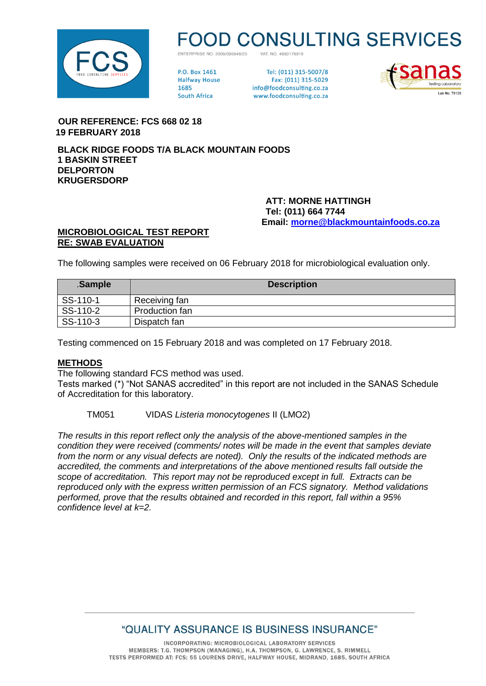

# **D CONSULTING SERVICES**

VAT NO 4860176918 ENTERPRISE NO 2009/099646/23

**PO Rox 1461 Halfway House** 1685 **South Africa** 

Tel: (011) 315-5007/8 Fax: (011) 315-5029 info@foodconsulting.co.za www.foodconsulting.co.za



 **OUR REFERENCE: FCS 668 02 18 19 FEBRUARY 2018**

**BLACK RIDGE FOODS T/A BLACK MOUNTAIN FOODS 1 BASKIN STREET DELPORTON KRUGERSDORP**

> **ATT: MORNE HATTINGH Tel: (011) 664 7744 Email: [morne@blackmountainfoods.co.za](mailto:morne@blackmountainfoods.co.za)**

#### **MICROBIOLOGICAL TEST REPORT RE: SWAB EVALUATION**

The following samples were received on 06 February 2018 for microbiological evaluation only.

| .Sample  | <b>Description</b> |
|----------|--------------------|
| SS-110-1 | Receiving fan      |
| SS-110-2 | Production fan     |
| SS-110-3 | Dispatch fan       |

Testing commenced on 15 February 2018 and was completed on 17 February 2018.

#### **METHODS**

The following standard FCS method was used.

Tests marked (\*) "Not SANAS accredited" in this report are not included in the SANAS Schedule of Accreditation for this laboratory.

TM051 VIDAS *Listeria monocytogenes* II (LMO2)

*The results in this report reflect only the analysis of the above-mentioned samples in the condition they were received (comments/ notes will be made in the event that samples deviate from the norm or any visual defects are noted). Only the results of the indicated methods are accredited, the comments and interpretations of the above mentioned results fall outside the scope of accreditation. This report may not be reproduced except in full. Extracts can be reproduced only with the express written permission of an FCS signatory. Method validations performed, prove that the results obtained and recorded in this report, fall within a 95% confidence level at k=2.*

## "QUALITY ASSURANCE IS BUSINESS INSURANCE"

INCORPORATING: MICROBIOLOGICAL LABORATORY SERVICES MEMBERS: T.G. THOMPSON (MANAGING), H.A. THOMPSON, G. LAWRENCE, S. RIMMELL TESTS PERFORMED AT: FCS; 55 LOURENS DRIVE, HALFWAY HOUSE, MIDRAND, 1685, SOUTH AFRICA